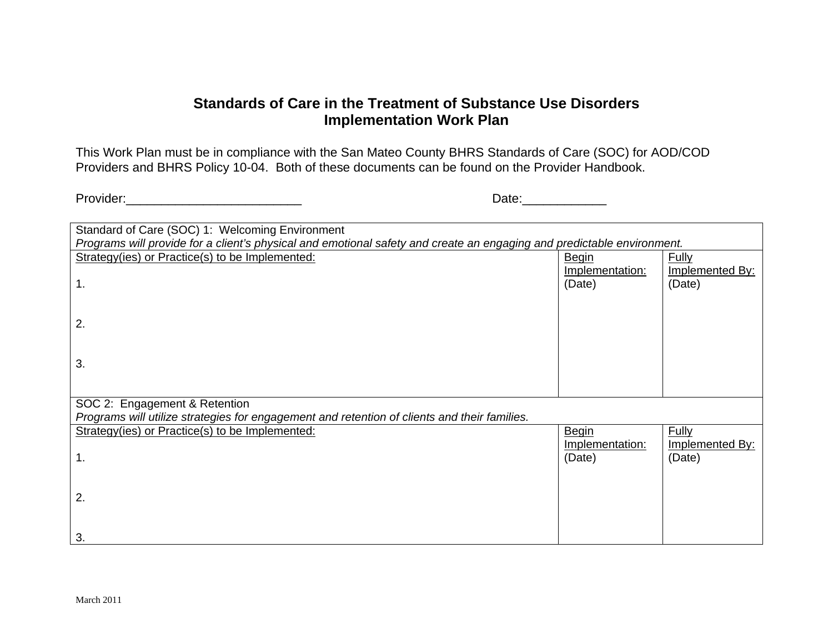## **Standards of Care in the Treatment of Substance Use Disorders Implementation Work Plan**

This Work Plan must be in compliance with the San Mateo County BHRS Standards of Care (SOC) for AOD/COD Providers and BHRS Policy 10-04. Both of these documents can be found on the Provider Handbook.

Provider:\_\_\_\_\_\_\_\_\_\_\_\_\_\_\_\_\_\_\_\_\_\_\_\_\_ Date:\_\_\_\_\_\_\_\_\_\_\_\_

| Standard of Care (SOC) 1: Welcoming Environment                                                                        |                 |                 |
|------------------------------------------------------------------------------------------------------------------------|-----------------|-----------------|
| Programs will provide for a client's physical and emotional safety and create an engaging and predictable environment. |                 |                 |
| Strategy(ies) or Practice(s) to be Implemented:                                                                        | <b>Begin</b>    | Fully           |
|                                                                                                                        | Implementation: | Implemented By: |
| $\mathbf 1$ .                                                                                                          | (Date)          | (Date)          |
|                                                                                                                        |                 |                 |
|                                                                                                                        |                 |                 |
|                                                                                                                        |                 |                 |
| 2.                                                                                                                     |                 |                 |
|                                                                                                                        |                 |                 |
|                                                                                                                        |                 |                 |
| 3.                                                                                                                     |                 |                 |
|                                                                                                                        |                 |                 |
|                                                                                                                        |                 |                 |
| SOC 2: Engagement & Retention                                                                                          |                 |                 |
| Programs will utilize strategies for engagement and retention of clients and their families.                           |                 |                 |
|                                                                                                                        |                 |                 |
| Strategy(ies) or Practice(s) to be Implemented:                                                                        | <b>Begin</b>    | <b>Fully</b>    |
|                                                                                                                        | Implementation: | Implemented By: |
| 1.                                                                                                                     | (Date)          | (Date)          |
|                                                                                                                        |                 |                 |
|                                                                                                                        |                 |                 |
| 2.                                                                                                                     |                 |                 |
|                                                                                                                        |                 |                 |
|                                                                                                                        |                 |                 |
|                                                                                                                        |                 |                 |
| 3.                                                                                                                     |                 |                 |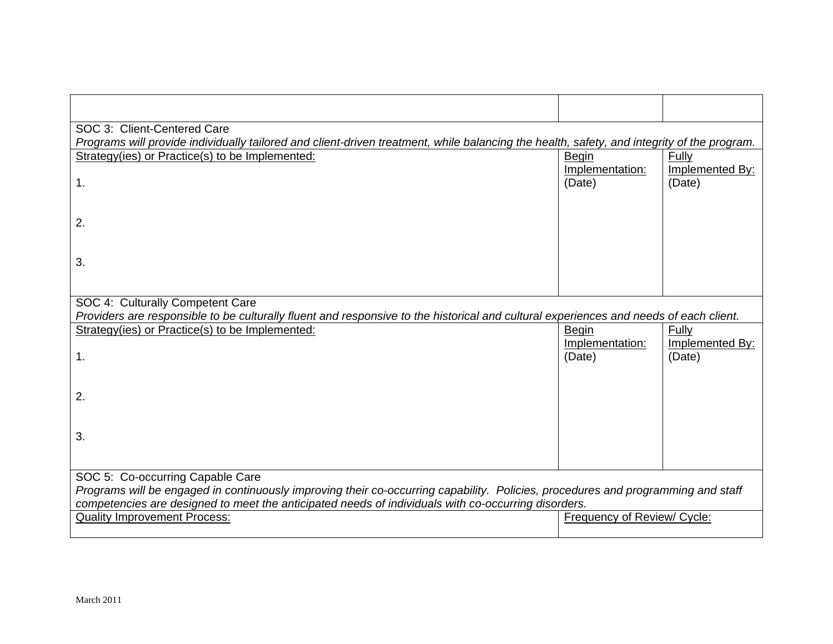| SOC 3: Client-Centered Care                                                                                                                                                                                                             |                             |                           |  |
|-----------------------------------------------------------------------------------------------------------------------------------------------------------------------------------------------------------------------------------------|-----------------------------|---------------------------|--|
| Programs will provide individually tailored and client-driven treatment, while balancing the health, safety, and integrity of the program.                                                                                              |                             |                           |  |
| Strategy(ies) or Practice(s) to be Implemented:                                                                                                                                                                                         | <b>Begin</b>                | Fully                     |  |
| $\mathbf 1$ .                                                                                                                                                                                                                           | Implementation:<br>(Date)   | Implemented By:<br>(Date) |  |
| 2.                                                                                                                                                                                                                                      |                             |                           |  |
| 3.                                                                                                                                                                                                                                      |                             |                           |  |
| SOC 4: Culturally Competent Care                                                                                                                                                                                                        |                             |                           |  |
| Providers are responsible to be culturally fluent and responsive to the historical and cultural experiences and needs of each client.                                                                                                   |                             |                           |  |
| Strategy(ies) or Practice(s) to be Implemented:                                                                                                                                                                                         | Begin                       | Fully                     |  |
|                                                                                                                                                                                                                                         | Implementation:             | Implemented By:           |  |
| $\mathbf 1$ .                                                                                                                                                                                                                           | (Date)                      | (Date)                    |  |
|                                                                                                                                                                                                                                         |                             |                           |  |
| 2.                                                                                                                                                                                                                                      |                             |                           |  |
|                                                                                                                                                                                                                                         |                             |                           |  |
|                                                                                                                                                                                                                                         |                             |                           |  |
| 3.                                                                                                                                                                                                                                      |                             |                           |  |
|                                                                                                                                                                                                                                         |                             |                           |  |
| SOC 5: Co-occurring Capable Care                                                                                                                                                                                                        |                             |                           |  |
| Programs will be engaged in continuously improving their co-occurring capability. Policies, procedures and programming and staff<br>competencies are designed to meet the anticipated needs of individuals with co-occurring disorders. |                             |                           |  |
| <b>Quality Improvement Process:</b>                                                                                                                                                                                                     | Frequency of Review/ Cycle: |                           |  |
|                                                                                                                                                                                                                                         |                             |                           |  |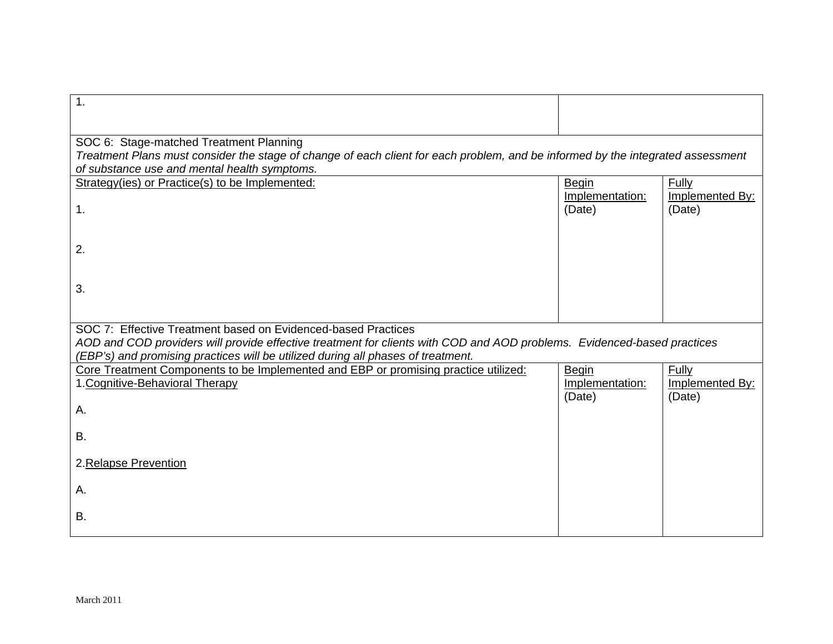| 1.                                                                                                                              |                 |                 |
|---------------------------------------------------------------------------------------------------------------------------------|-----------------|-----------------|
|                                                                                                                                 |                 |                 |
| SOC 6: Stage-matched Treatment Planning                                                                                         |                 |                 |
| Treatment Plans must consider the stage of change of each client for each problem, and be informed by the integrated assessment |                 |                 |
| of substance use and mental health symptoms.                                                                                    |                 |                 |
| Strategy(ies) or Practice(s) to be Implemented:                                                                                 | Begin           | Fully           |
|                                                                                                                                 | Implementation: | Implemented By: |
| 1.                                                                                                                              | (Date)          | (Date)          |
|                                                                                                                                 |                 |                 |
| 2.                                                                                                                              |                 |                 |
|                                                                                                                                 |                 |                 |
|                                                                                                                                 |                 |                 |
| 3.                                                                                                                              |                 |                 |
|                                                                                                                                 |                 |                 |
| SOC 7: Effective Treatment based on Evidenced-based Practices                                                                   |                 |                 |
| AOD and COD providers will provide effective treatment for clients with COD and AOD problems. Evidenced-based practices         |                 |                 |
| (EBP's) and promising practices will be utilized during all phases of treatment.                                                |                 |                 |
| Core Treatment Components to be Implemented and EBP or promising practice utilized:                                             | <b>Begin</b>    | Fully           |
| 1. Cognitive-Behavioral Therapy                                                                                                 | Implementation: | Implemented By: |
| А.                                                                                                                              | (Date)          | (Date)          |
|                                                                                                                                 |                 |                 |
| В.                                                                                                                              |                 |                 |
|                                                                                                                                 |                 |                 |
| 2. Relapse Prevention                                                                                                           |                 |                 |
|                                                                                                                                 |                 |                 |
| Α.                                                                                                                              |                 |                 |
| В.                                                                                                                              |                 |                 |
|                                                                                                                                 |                 |                 |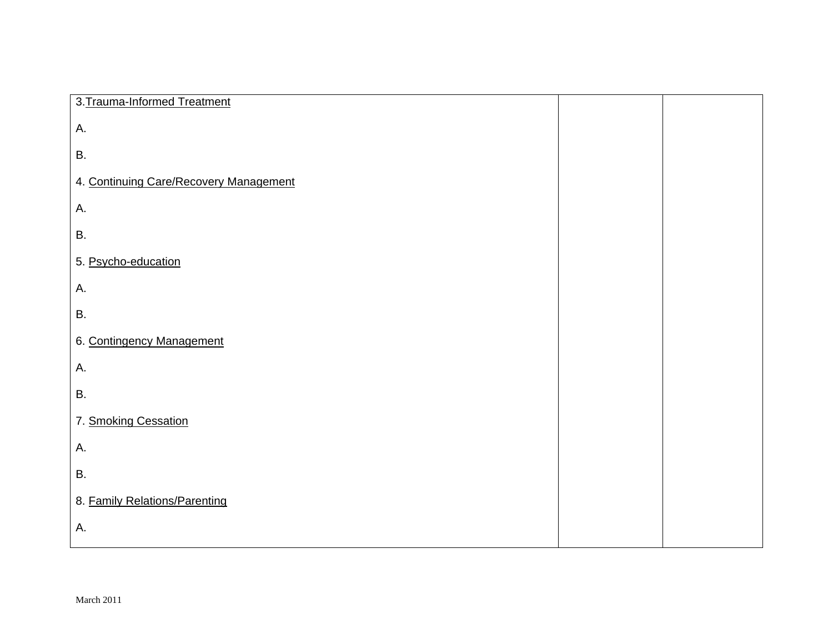| 3. Trauma-Informed Treatment           |  |
|----------------------------------------|--|
| Α.                                     |  |
| <b>B.</b>                              |  |
| 4. Continuing Care/Recovery Management |  |
| Α.                                     |  |
| В.                                     |  |
| 5. Psycho-education                    |  |
| Α.                                     |  |
| Β.                                     |  |
| 6. Contingency Management              |  |
| Α.                                     |  |
| В.                                     |  |
| 7. Smoking Cessation                   |  |
| Α.                                     |  |
| Β.                                     |  |
| 8. Family Relations/Parenting          |  |
| Α.                                     |  |